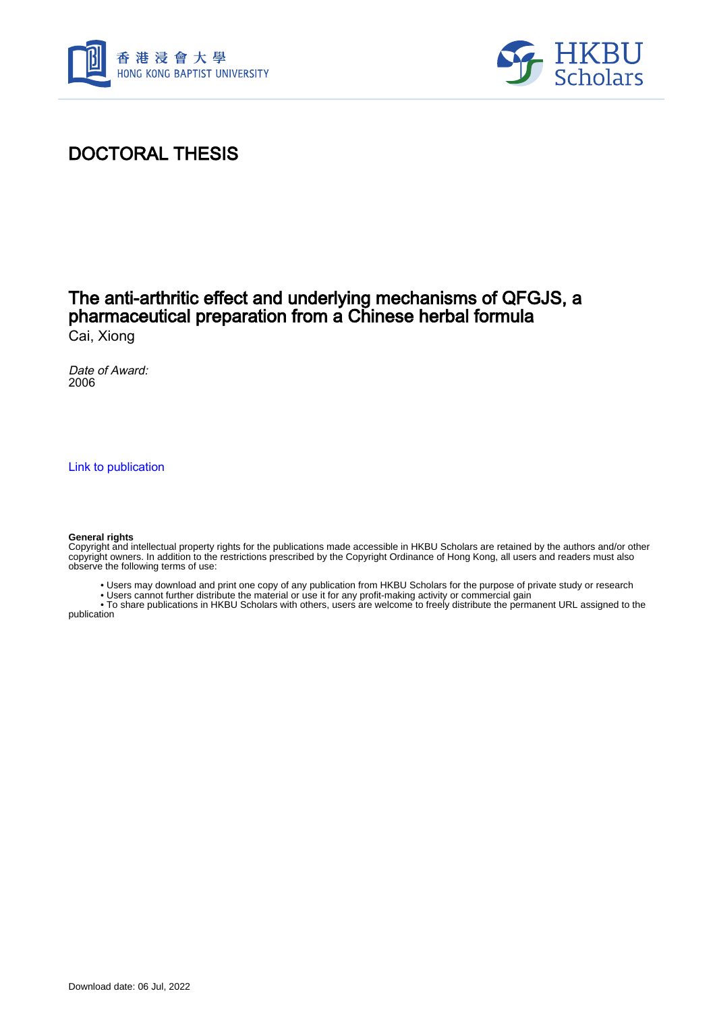



## DOCTORAL THESIS

### The anti-arthritic effect and underlying mechanisms of QFGJS, a pharmaceutical preparation from a Chinese herbal formula Cai, Xiong

Date of Award: 2006

[Link to publication](https://scholars.hkbu.edu.hk/en/studentTheses/9387cead-ce12-421a-a8b6-9de16f5b3382)

#### **General rights**

Copyright and intellectual property rights for the publications made accessible in HKBU Scholars are retained by the authors and/or other copyright owners. In addition to the restrictions prescribed by the Copyright Ordinance of Hong Kong, all users and readers must also observe the following terms of use:

- Users may download and print one copy of any publication from HKBU Scholars for the purpose of private study or research
- Users cannot further distribute the material or use it for any profit-making activity or commercial gain

 • To share publications in HKBU Scholars with others, users are welcome to freely distribute the permanent URL assigned to the publication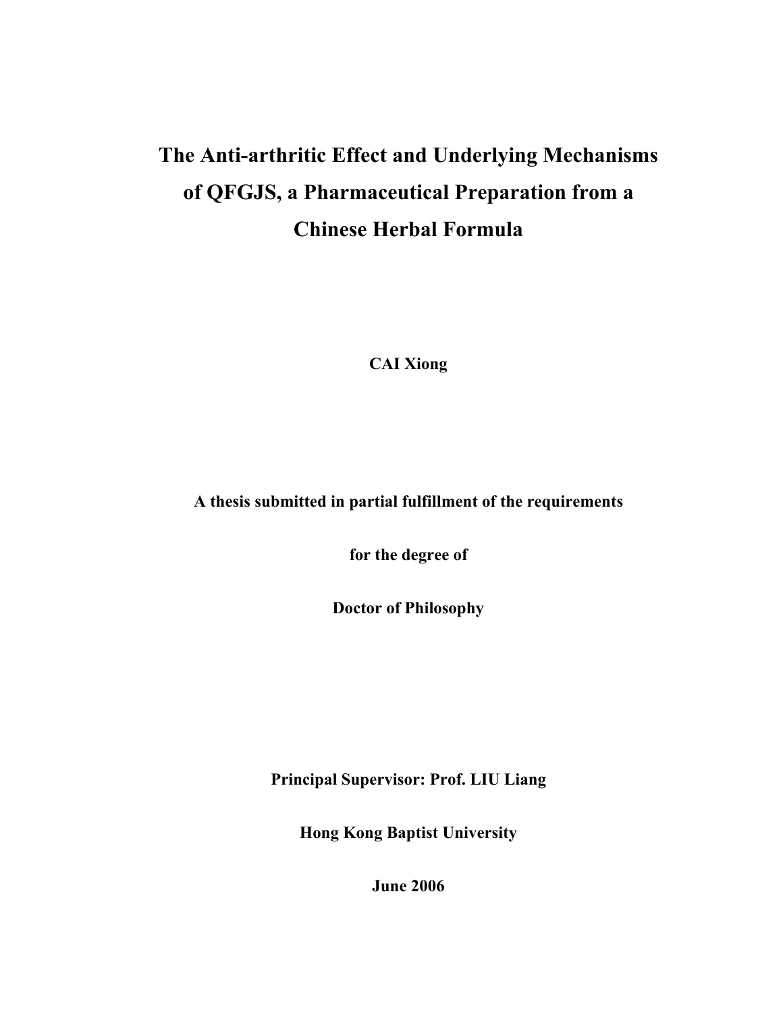# **The Anti-arthritic Effect and Underlying Mechanisms of QFGJS, a Pharmaceutical Preparation from a Chinese Herbal Formula**

**CAI Xiong** 

**A thesis submitted in partial fulfillment of the requirements** 

**for the degree of** 

**Doctor of Philosophy** 

**Principal Supervisor: Prof. LIU Liang** 

**Hong Kong Baptist University** 

**June 2006**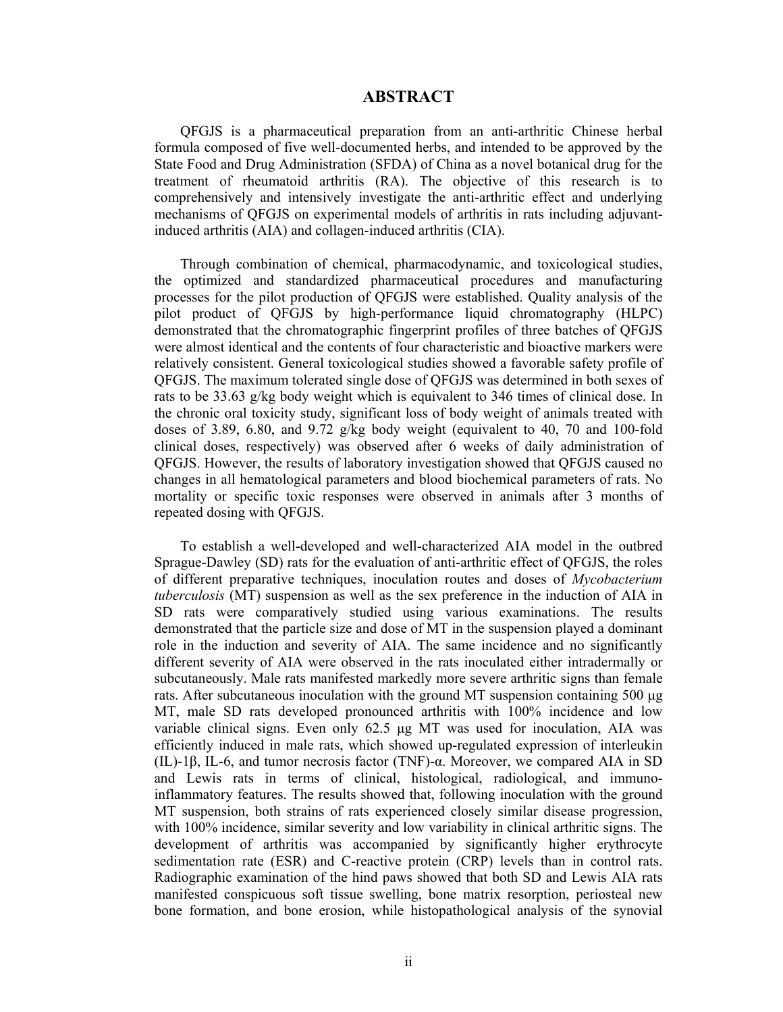#### **ABSTRACT**

QFGJS is a pharmaceutical preparation from an anti-arthritic Chinese herbal formula composed of five well-documented herbs, and intended to be approved by the State Food and Drug Administration (SFDA) of China as a novel botanical drug for the treatment of rheumatoid arthritis (RA). The objective of this research is to comprehensively and intensively investigate the anti-arthritic effect and underlying mechanisms of QFGJS on experimental models of arthritis in rats including adjuvantinduced arthritis (AIA) and collagen-induced arthritis (CIA).

Through combination of chemical, pharmacodynamic, and toxicological studies, the optimized and standardized pharmaceutical procedures and manufacturing processes for the pilot production of QFGJS were established. Quality analysis of the pilot product of QFGJS by high-performance liquid chromatography (HLPC) demonstrated that the chromatographic fingerprint profiles of three batches of QFGJS were almost identical and the contents of four characteristic and bioactive markers were relatively consistent. General toxicological studies showed a favorable safety profile of QFGJS. The maximum tolerated single dose of QFGJS was determined in both sexes of rats to be 33.63 g/kg body weight which is equivalent to 346 times of clinical dose. In the chronic oral toxicity study, significant loss of body weight of animals treated with doses of 3.89, 6.80, and 9.72  $g/kg$  body weight (equivalent to 40, 70 and 100-fold clinical doses, respectively) was observed after 6 weeks of daily administration of QFGJS. However, the results of laboratory investigation showed that QFGJS caused no changes in all hematological parameters and blood biochemical parameters of rats. No mortality or specific toxic responses were observed in animals after 3 months of repeated dosing with QFGJS.

To establish a well-developed and well-characterized AIA model in the outbred Sprague-Dawley (SD) rats for the evaluation of anti-arthritic effect of QFGJS, the roles of different preparative techniques, inoculation routes and doses of *Mycobacterium tuberculosis* (MT) suspension as well as the sex preference in the induction of AIA in SD rats were comparatively studied using various examinations. The results demonstrated that the particle size and dose of MT in the suspension played a dominant role in the induction and severity of AIA. The same incidence and no significantly different severity of AIA were observed in the rats inoculated either intradermally or subcutaneously. Male rats manifested markedly more severe arthritic signs than female rats. After subcutaneous inoculation with the ground MT suspension containing 500 µg MT, male SD rats developed pronounced arthritis with 100% incidence and low variable clinical signs. Even only 62.5 µg MT was used for inoculation, AIA was efficiently induced in male rats, which showed up-regulated expression of interleukin (IL)-1β, IL-6, and tumor necrosis factor (TNF)-α. Moreover, we compared AIA in SD and Lewis rats in terms of clinical, histological, radiological, and immunoinflammatory features. The results showed that, following inoculation with the ground MT suspension, both strains of rats experienced closely similar disease progression, with 100% incidence, similar severity and low variability in clinical arthritic signs. The development of arthritis was accompanied by significantly higher erythrocyte sedimentation rate (ESR) and C-reactive protein (CRP) levels than in control rats. Radiographic examination of the hind paws showed that both SD and Lewis AIA rats manifested conspicuous soft tissue swelling, bone matrix resorption, periosteal new bone formation, and bone erosion, while histopathological analysis of the synovial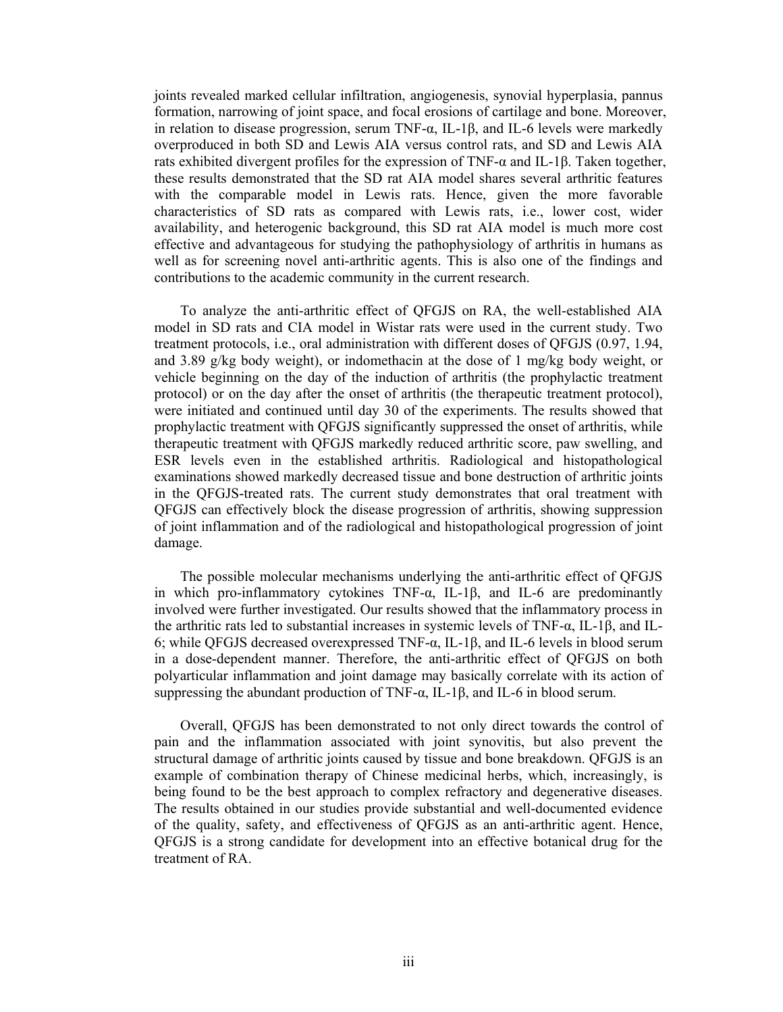joints revealed marked cellular infiltration, angiogenesis, synovial hyperplasia, pannus formation, narrowing of joint space, and focal erosions of cartilage and bone. Moreover, in relation to disease progression, serum TNF-α, IL-1β, and IL-6 levels were markedly overproduced in both SD and Lewis AIA versus control rats, and SD and Lewis AIA rats exhibited divergent profiles for the expression of TNF-α and IL-1β. Taken together, these results demonstrated that the SD rat AIA model shares several arthritic features with the comparable model in Lewis rats. Hence, given the more favorable characteristics of SD rats as compared with Lewis rats, i.e., lower cost, wider availability, and heterogenic background, this SD rat AIA model is much more cost effective and advantageous for studying the pathophysiology of arthritis in humans as well as for screening novel anti-arthritic agents. This is also one of the findings and contributions to the academic community in the current research.

To analyze the anti-arthritic effect of QFGJS on RA, the well-established AIA model in SD rats and CIA model in Wistar rats were used in the current study. Two treatment protocols, i.e., oral administration with different doses of QFGJS (0.97, 1.94, and 3.89 g/kg body weight), or indomethacin at the dose of 1 mg/kg body weight, or vehicle beginning on the day of the induction of arthritis (the prophylactic treatment protocol) or on the day after the onset of arthritis (the therapeutic treatment protocol), were initiated and continued until day 30 of the experiments. The results showed that prophylactic treatment with QFGJS significantly suppressed the onset of arthritis, while therapeutic treatment with QFGJS markedly reduced arthritic score, paw swelling, and ESR levels even in the established arthritis. Radiological and histopathological examinations showed markedly decreased tissue and bone destruction of arthritic joints in the QFGJS-treated rats. The current study demonstrates that oral treatment with QFGJS can effectively block the disease progression of arthritis, showing suppression of joint inflammation and of the radiological and histopathological progression of joint damage.

The possible molecular mechanisms underlying the anti-arthritic effect of QFGJS in which pro-inflammatory cytokines TNF-α, IL-1β, and IL-6 are predominantly involved were further investigated. Our results showed that the inflammatory process in the arthritic rats led to substantial increases in systemic levels of TNF-α, IL-1β, and IL-6; while QFGJS decreased overexpressed TNF-α, IL-1β, and IL-6 levels in blood serum in a dose-dependent manner. Therefore, the anti-arthritic effect of QFGJS on both polyarticular inflammation and joint damage may basically correlate with its action of suppressing the abundant production of TNF-α, IL-1β, and IL-6 in blood serum.

Overall, QFGJS has been demonstrated to not only direct towards the control of pain and the inflammation associated with joint synovitis, but also prevent the structural damage of arthritic joints caused by tissue and bone breakdown. QFGJS is an example of combination therapy of Chinese medicinal herbs, which, increasingly, is being found to be the best approach to complex refractory and degenerative diseases. The results obtained in our studies provide substantial and well-documented evidence of the quality, safety, and effectiveness of QFGJS as an anti-arthritic agent. Hence, QFGJS is a strong candidate for development into an effective botanical drug for the treatment of RA.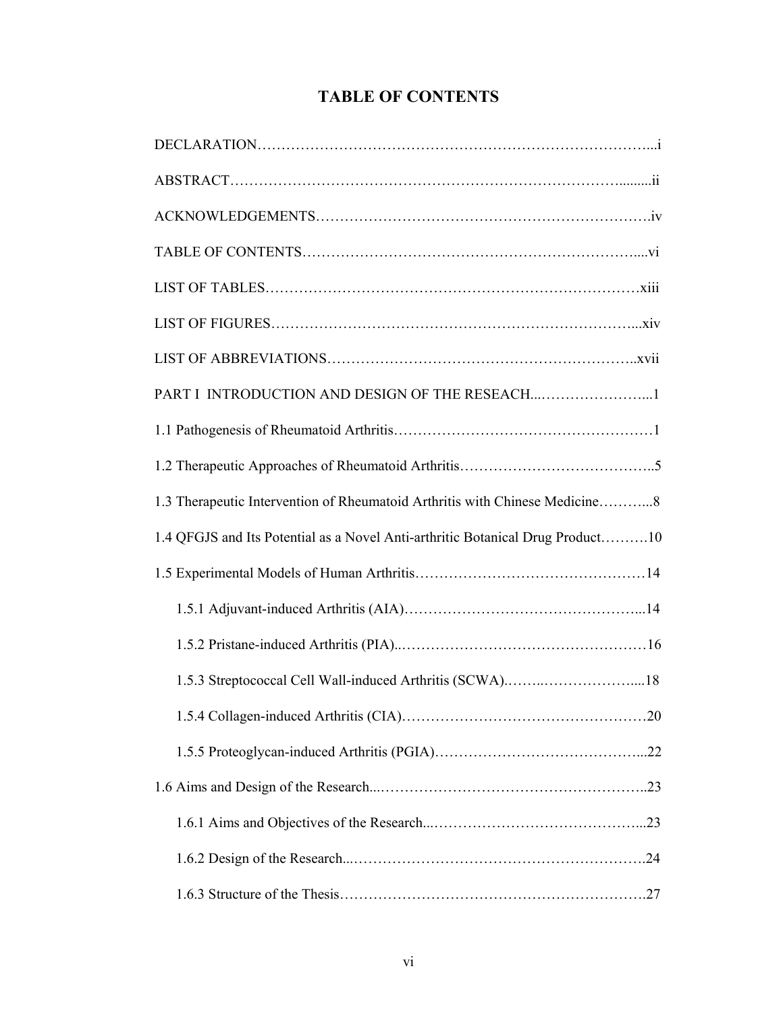|  | <b>TABLE OF CONTENTS</b> |
|--|--------------------------|
|--|--------------------------|

| 1.3 Therapeutic Intervention of Rheumatoid Arthritis with Chinese Medicine8    |
|--------------------------------------------------------------------------------|
| 1.4 QFGJS and Its Potential as a Novel Anti-arthritic Botanical Drug Product10 |
|                                                                                |
|                                                                                |
|                                                                                |
|                                                                                |
|                                                                                |
|                                                                                |
|                                                                                |
|                                                                                |
|                                                                                |
|                                                                                |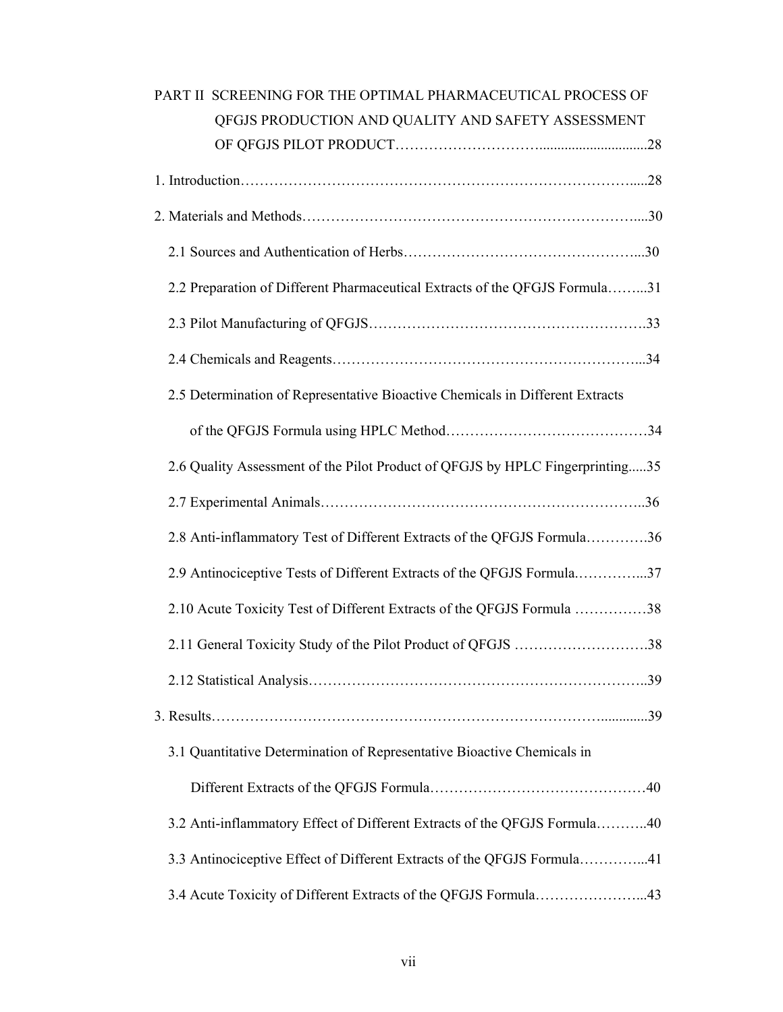| PART II SCREENING FOR THE OPTIMAL PHARMACEUTICAL PROCESS OF<br>OFGJS PRODUCTION AND QUALITY AND SAFETY ASSESSMENT |
|-------------------------------------------------------------------------------------------------------------------|
|                                                                                                                   |
|                                                                                                                   |
|                                                                                                                   |
|                                                                                                                   |
| 2.2 Preparation of Different Pharmaceutical Extracts of the QFGJS Formula31                                       |
|                                                                                                                   |
|                                                                                                                   |
| 2.5 Determination of Representative Bioactive Chemicals in Different Extracts                                     |
|                                                                                                                   |
| 2.6 Quality Assessment of the Pilot Product of QFGJS by HPLC Fingerprinting35                                     |
|                                                                                                                   |
| 2.8 Anti-inflammatory Test of Different Extracts of the QFGJS Formula36                                           |
| 2.9 Antinociceptive Tests of Different Extracts of the QFGJS Formula37                                            |
| 2.10 Acute Toxicity Test of Different Extracts of the QFGJS Formula 38                                            |
| 2.11 General Toxicity Study of the Pilot Product of QFGJS 38                                                      |
|                                                                                                                   |
|                                                                                                                   |
| 3.1 Quantitative Determination of Representative Bioactive Chemicals in                                           |
|                                                                                                                   |
| 3.2 Anti-inflammatory Effect of Different Extracts of the QFGJS Formula40                                         |
| 3.3 Antinociceptive Effect of Different Extracts of the QFGJS Formula41                                           |
| 3.4 Acute Toxicity of Different Extracts of the QFGJS Formula43                                                   |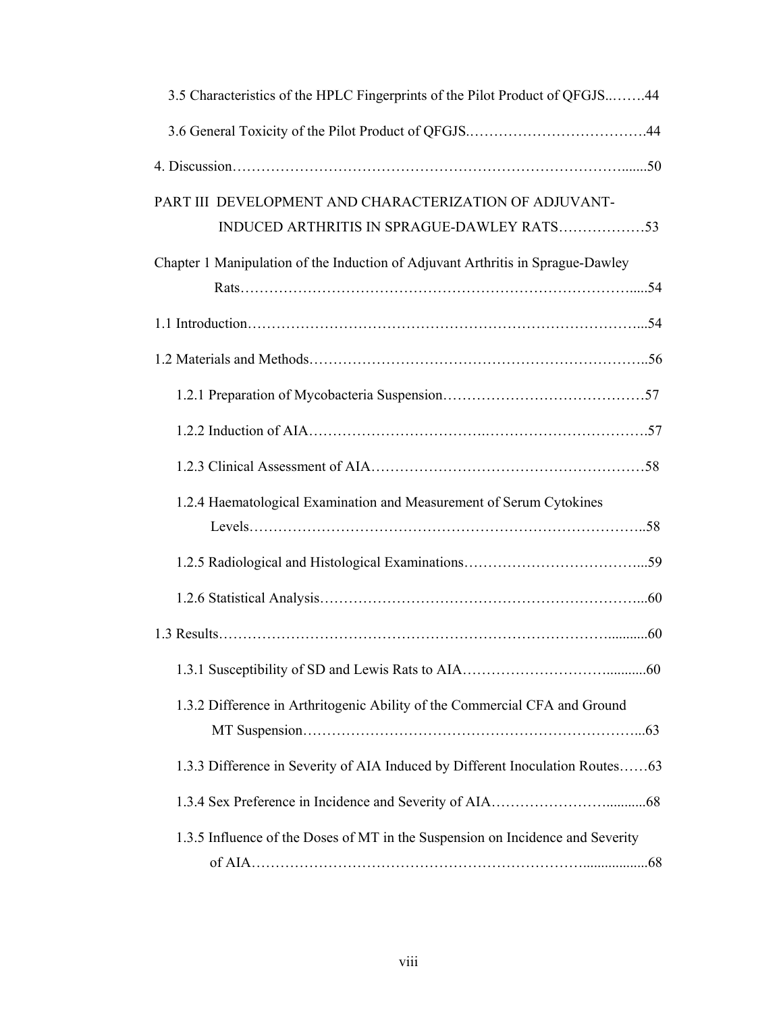| 3.5 Characteristics of the HPLC Fingerprints of the Pilot Product of QFGJS44    |  |
|---------------------------------------------------------------------------------|--|
|                                                                                 |  |
|                                                                                 |  |
| PART III DEVELOPMENT AND CHARACTERIZATION OF ADJUVANT-                          |  |
| Chapter 1 Manipulation of the Induction of Adjuvant Arthritis in Sprague-Dawley |  |
|                                                                                 |  |
|                                                                                 |  |
|                                                                                 |  |
|                                                                                 |  |
|                                                                                 |  |
| 1.2.4 Haematological Examination and Measurement of Serum Cytokines             |  |
|                                                                                 |  |
|                                                                                 |  |
|                                                                                 |  |
|                                                                                 |  |
| 1.3.2 Difference in Arthritogenic Ability of the Commercial CFA and Ground      |  |
| 1.3.3 Difference in Severity of AIA Induced by Different Inoculation Routes63   |  |
|                                                                                 |  |
| 1.3.5 Influence of the Doses of MT in the Suspension on Incidence and Severity  |  |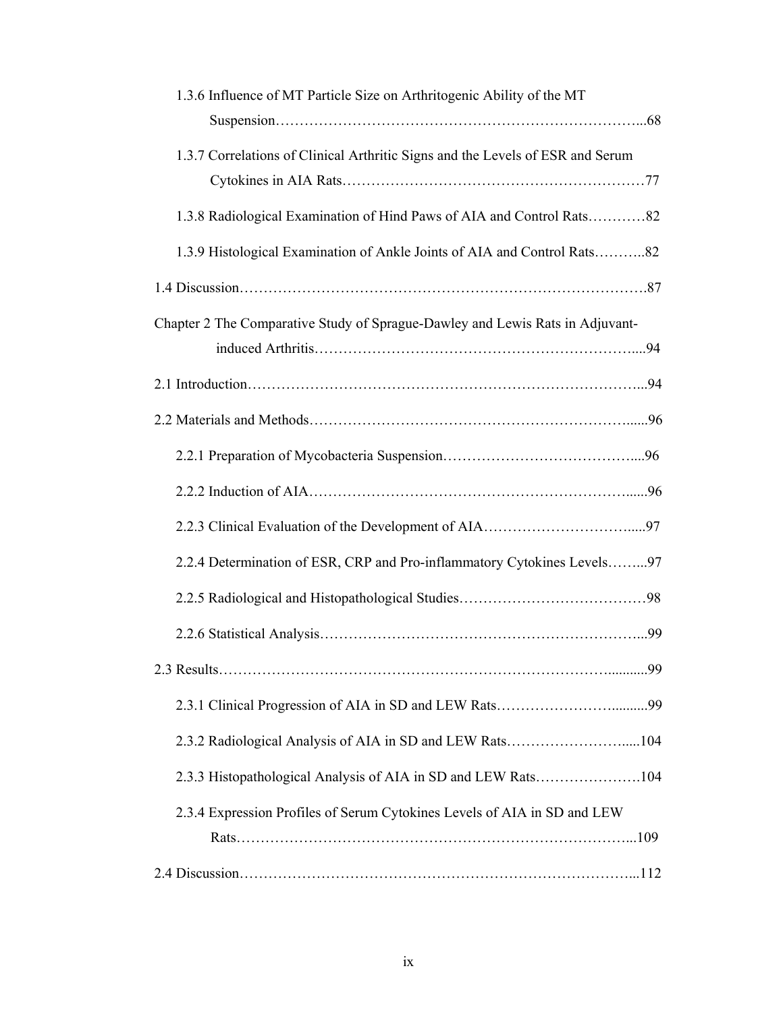| 1.3.6 Influence of MT Particle Size on Arthritogenic Ability of the MT         |
|--------------------------------------------------------------------------------|
| 1.3.7 Correlations of Clinical Arthritic Signs and the Levels of ESR and Serum |
|                                                                                |
| 1.3.8 Radiological Examination of Hind Paws of AIA and Control Rats82          |
| 1.3.9 Histological Examination of Ankle Joints of AIA and Control Rats82       |
|                                                                                |
| Chapter 2 The Comparative Study of Sprague-Dawley and Lewis Rats in Adjuvant-  |
|                                                                                |
|                                                                                |
|                                                                                |
|                                                                                |
|                                                                                |
|                                                                                |
| 2.2.4 Determination of ESR, CRP and Pro-inflammatory Cytokines Levels97        |
|                                                                                |
|                                                                                |
|                                                                                |
|                                                                                |
| 2.3.2 Radiological Analysis of AIA in SD and LEW Rats104                       |
| 2.3.3 Histopathological Analysis of AIA in SD and LEW Rats104                  |
| 2.3.4 Expression Profiles of Serum Cytokines Levels of AIA in SD and LEW       |
|                                                                                |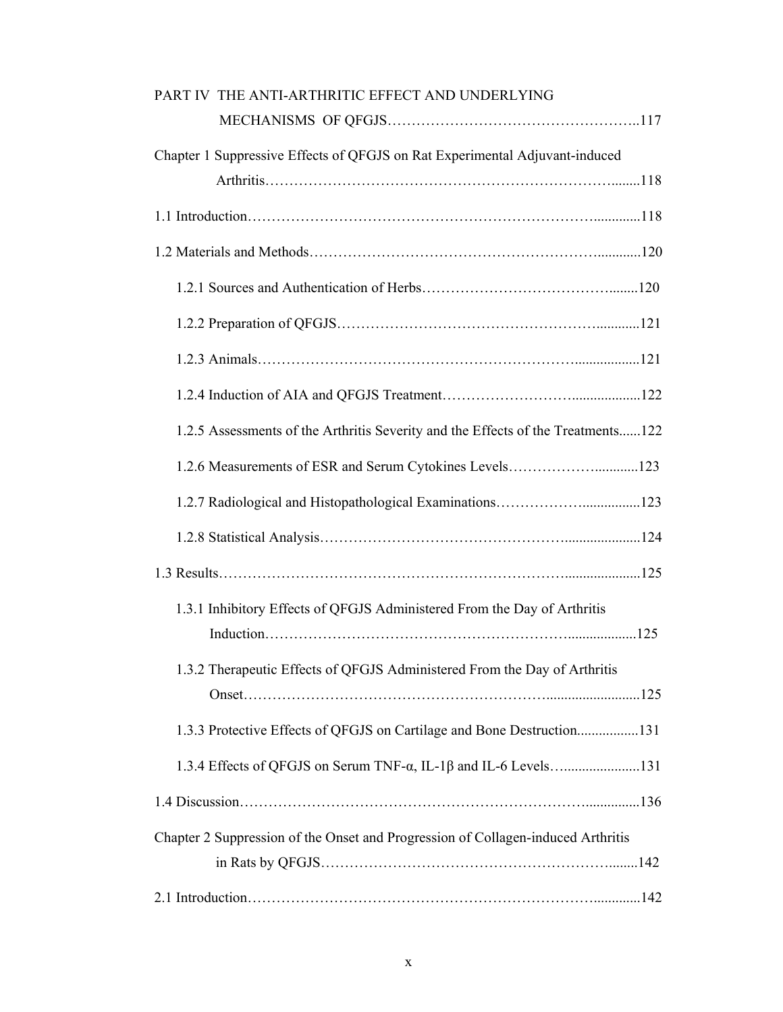| PART IV THE ANTI-ARTHRITIC EFFECT AND UNDERLYING                                 |
|----------------------------------------------------------------------------------|
|                                                                                  |
| Chapter 1 Suppressive Effects of QFGJS on Rat Experimental Adjuvant-induced      |
|                                                                                  |
|                                                                                  |
|                                                                                  |
|                                                                                  |
|                                                                                  |
|                                                                                  |
|                                                                                  |
| 1.2.5 Assessments of the Arthritis Severity and the Effects of the Treatments122 |
| 1.2.6 Measurements of ESR and Serum Cytokines Levels123                          |
|                                                                                  |
|                                                                                  |
|                                                                                  |
| 1.3.1 Inhibitory Effects of QFGJS Administered From the Day of Arthritis         |
|                                                                                  |
| 1.3.2 Therapeutic Effects of QFGJS Administered From the Day of Arthritis        |
|                                                                                  |
| 1.3.3 Protective Effects of QFGJS on Cartilage and Bone Destruction131           |
|                                                                                  |
|                                                                                  |
| Chapter 2 Suppression of the Onset and Progression of Collagen-induced Arthritis |
|                                                                                  |
|                                                                                  |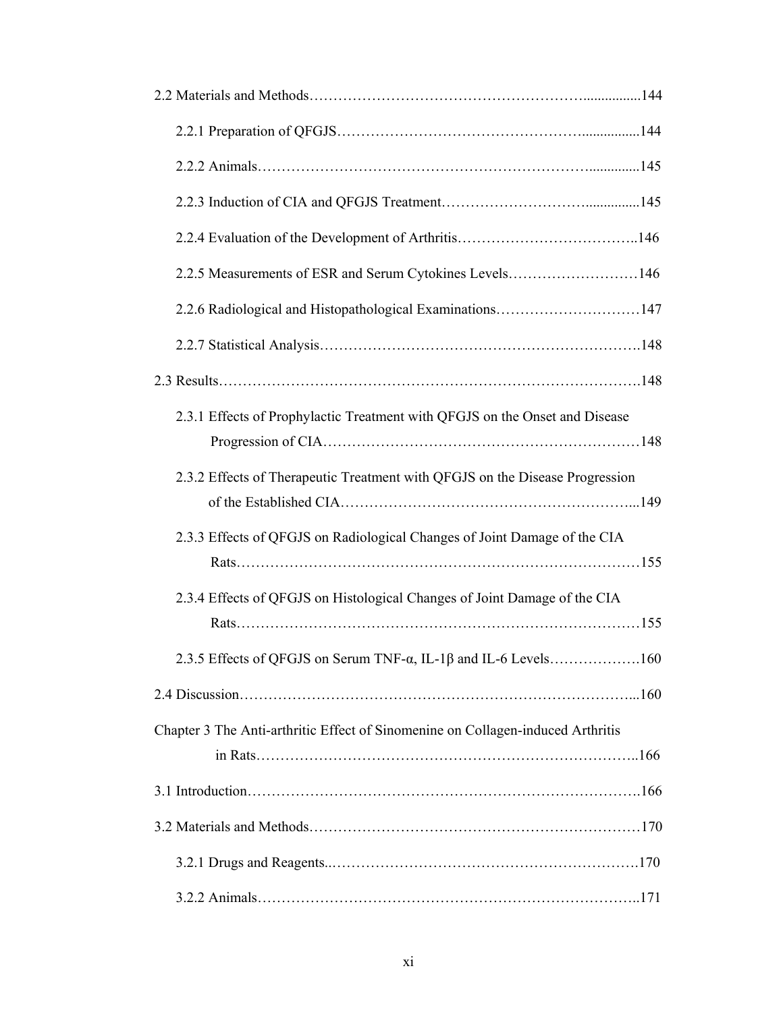| 2.2.5 Measurements of ESR and Serum Cytokines Levels146                         |
|---------------------------------------------------------------------------------|
| 2.2.6 Radiological and Histopathological Examinations147                        |
|                                                                                 |
|                                                                                 |
| 2.3.1 Effects of Prophylactic Treatment with QFGJS on the Onset and Disease     |
| 2.3.2 Effects of Therapeutic Treatment with QFGJS on the Disease Progression    |
| 2.3.3 Effects of QFGJS on Radiological Changes of Joint Damage of the CIA       |
| 2.3.4 Effects of QFGJS on Histological Changes of Joint Damage of the CIA       |
|                                                                                 |
|                                                                                 |
| Chapter 3 The Anti-arthritic Effect of Sinomenine on Collagen-induced Arthritis |
|                                                                                 |
|                                                                                 |
|                                                                                 |
|                                                                                 |